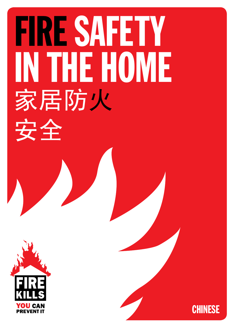# FIRE SAFETY IN THE HOME 家居防火 安全



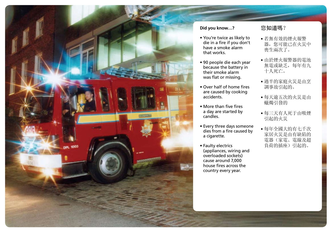

#### **Did you know…?**

- You're twice as likely to die in a fire if you don't have a smoke alarm that works.
- 90 people die each year because the battery in their smoke alarm was flat or missing.
- Over half of home fires are caused by cooking accidents.
- More than five fires a day are started by candles.
- Every three days someone dies from a fire caused by a cigarette.
- Faulty electrics (appliances, wiring and overloaded sockets) cause around 7,000 house fires across the country every year.

#### 您知道嗎?

- 若無有效的煙火報警 器,您可能已在火災中 喪生兩次了。
- 由於煙火報警器的電池 無電或缺乏,每年有九 十人死亡。
- 過半的家庭火災是由烹 調事故引起的。
- 每天逾五次的火災是由 蠟燭引發的
- 每三天有人死于由吸煙 引起的火災
- 每年全國大約有七千次 家居火災是由有缺陷的 電器(家電、電線及超 負荷的插座)引起的。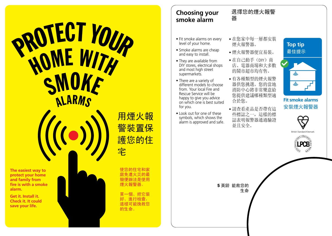# **PROTECT YOUR** HOME WITH SMOKE **ALARMS**



**Get it. Install it. Check it. It could save your life.** 



用煙火報 警裝置保 護您的住 宅

使您的住宅和家 庭免遭火災的最 簡便辦法是使用 煙火報警器。

買一個、把它裝 好、進行檢查, 這樣可能挽救您 的生命。

## **Choosing your smoke alarm**

## 選擇您的煙火報警 器

- Fit smoke alarms on every level of your home.
- Smoke alarms are cheap and easy to install.
- They are available from DIY stores, electrical shops and most high street supermarkets.
- There are a variety of different models to choose from. Your local Fire and Rescue Service will be happy to give you advice on which one is best suited for you.
- Look out for one of these symbols, which shows the alarm is approved and safe.
- 在您家中每一層都安裝 煙火報警器。
- 煙火報警器便宜易裝。
- 在自己動手(DIY)商 店、電器商場和大多數 的鬧市超市均有售。
- 有各種類型的煙火報警 器供您挑選。您的當地 消防中心將非常樂意給 您提供建議哪種類型適 合於您。
- 請查看產品是否帶有這 些標誌之一,這樣的標 誌表明報警器通過驗證 並且安全。



**Top tip**  最佳提示

#### **Fit smoke alarms**  安裝煙火報警器



British Standard Kiter



5 英鎊 能救您的 生命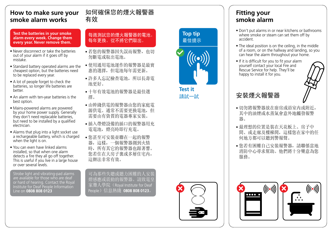## **How to make sure your s m o ke a l a rm w o r ks**

Test the batteries in your smoke alarm every week. Change them every year. Never remove them.

- Never disconnect or take the batteries out of your alarm if it goes off by mistake.
- Standard battery operated alarms are the cheapest option, but the batteries need to be replaced every year.
- A lot of people forget to check the batteries, so longer life batteries are better.
- An alarm with ten-year batteries is the best option.
- Mains-powered alarms are powered by your home power supply. Generally they don't need replacable batteries, but need to be installed by a qualified electrician.
- Alarms that plug into a light socket use a rechargeable battery, which is charged when the light is on.
- You can even have linked alarms installed, so that when one alarm detects a fire they all go off together. This is useful if you live in a large house or over several levels.

Strobe light and vibrating-pad alarms are available for those who are deaf or hard of hearing. Contact the Royal Institute for Deaf People Information L i n e o n **0 8 0 8 8 0 8 0 1 2 3**

## <mark><br>有過測試您的煙火報警器的電池。</mark><br>每週測試您的煙火報警器的電池。 每年更換。從不將它們取出。

如何確保您的煙火報警器

有效

- 若您的報警器因失誤而報警,也切 勿斷電或取出電池。
- 使用通用電池運作的報警器是最實 惠的選擇,但電池每年需更新。
- 許多人忘記檢查電池,所以長壽電 池 更 好 。
- 十年有效電池的報警器是最佳選 擇 。
- 由幹綫供電的報警器由您的家庭電 源供電。通常不需要更換電池,但 需要由有資質的電器專家安裝。
- 插入帶燈設備的插口的報警器用充 電電池,燈亮時即行充電。
- 您甚至可安裝並聯在一起的報警 器,這樣,一個報警器測到火情 時,所有其它的報警器也跟著響。 您若住在大房子裏或多層住宅内, 這辦法非常有效。

可為那些失聰或聽力困難的人安裝 燈感應或震動的報警器。請致電皇 家聾人學院(Royal Institute for Deaf People)信息熱綫 0808 808 0123。

## **Top t ip**  最 佳 提 示



**Te st it**  請 試 一 試

## **Fitting your smoke alarm**

- Don't put alarms in or near kitchens or bathrooms where smoke or steam can set them off by accident.
- The ideal position is on the ceiling, in the middle of a room, or on the hallway and landing, so you can hear the alarm throughout your home.
- If it is difficult for you to fit your alarm yourself contact your local Fire and Rescue Service for help. They'll be happy to install it for you.



## 安 裝 煙 火 報 警 器

- 切勿將報警器放在廚房或浴室内或附近, 其中的油煙或水蒸氣會意外地觸發報警 器 。
- 最理想的位置是裝在天花板上、房子中 間、或走廊及樓梯閒,這樣您在家中的任 何地方都可以聽到警報聲。
- 您若有困難自己安裝報警器,請聯係當地 消防中心尋求幫助。他們將十分樂意為您 服務。



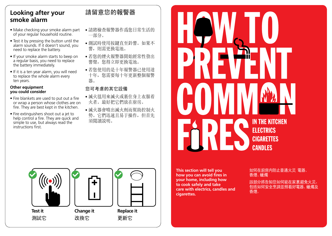## **Looking after your smoke alarm**

- Make checking your smoke alarm part of your regular household routine.
- Test it by pressing the button until the alarm sounds. If it doesn't sound, you need to replace the battery.
- If your smoke alarm starts to beep on a regular basis, you need to replace the battery immediately.
- If it is a ten year alarm, you will need to replace the whole alarm every ten years.

#### **Other equipment you could consider**

- Fire blankets are used to put out a fire or wrap a person whose clothes are on fire. They are best kept in the kitchen.
- Fire extinguishers shoot out a jet to help control a fire. They are quick and simple to use, but always read the instructions first.

## 請留意您的報警器

- 請將檢查報警器作爲您日常生活的 一部分。
- 測試時使用按鍵直至鈴響。如果不 響,則需更換電池。
- 若您的煙火報警器開始經常性發出 響聲,您得立即更換電池。
- 若您使用的是十年報警器已使用達 十年,您需要每十年更新整個報警 器。

#### 您可考慮的其它設備

- 滅火毯用來滅火或裹住身上衣服着 火者。最好把它們放在廚房。
- 滅火器會噴出滅火劑而幫助控制火 勢。它們迅速且易于操作,但首先 須閲讀説明。

**This section will tell you how you can avoid fres in your home, including how to cook safely and take care with electrics, candles and cigarettes.** 

#### 如何在廚房内防止普通火災 電器、 -香煙、蠟燭

IN THE KITCHEN

**ELECTRICS** 

CIGARETTES

**CANDLES** 

該部分將告知您如何能在家裏避免火災, 包括如何安全烹調並照看好電器、蠟燭及 香煙。

**Test it**  測試它



改換它



更新它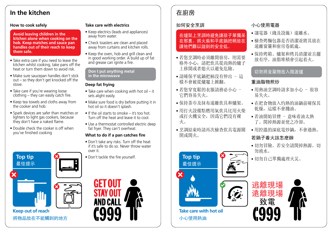## **In the kitchen**

#### **How to cook safely**

**Avoid leaving children in the kitchen alone when cooking on the hob. Keep matches and sauce pan handles out of their reach to keep them safe.**

- Take extra care if you need to leave the kitchen whilst cooking, take pans off the heat or turn them down to avoid risk.
- Make sure saucepan handles don't stick out – so they don't get knocked off the stove.
- Take care if you're wearing loose clothing – they can easily catch fire.
- Keep tea towels and cloths away from the cooker and hob.
- Spark devices are safer than matches or lighters to light gas cookers, because they don't have a naked flame.
- Double check the cooker is off when you've finished cooking



**Keep out of reach**  將物品放在不能觸到的地方

#### **Take care with electrics**

- Keep electrics (leads and appliances) away from water.
- Check toasters are clean and placed away from curtains and kitchen rolls.
- Keep the oven, hob and grill clean and in good working order. A build up of fat and grease can junite a fire.

#### **Don t put anything metal ' in the microwave**

#### **Deep fat frying**

- Take care when cooking with hot oil it sets alight easily.
- Make sure food is dry before putting it in hot oil so it doesn't splash.
- If the oil starts to smoke it's too hot. Turn off the heat and leave it to cool.
- Use a thermostat controlled electric deep fat fryer. They can't overheat.

#### What to do if a pan catches fire

- Don't take any risks. Turn off the heat if it's safe to do so. Never throw water over it.
- Don't tackle the fire yourself.



## 在廚房

#### 如何安全烹調

#### 在爐架上烹調時避免讓孩子單獨呆 在那裏。將火柴和平底鍋把柄放在 讓他們難以踫到的安全処。

- 若您烹調時必須離開廚房,則需要 格外小心,請把炊具從尚熱的爐子 上移開或者熄火以避免危險。
- 請確保平底鍋把柄沒有伸出 這 樣不會被從爐竈上掀翻。
- 若您穿寬鬆的衣服請務必小心 它們容易失火。
- 保持茶巾及抹布遠離炊具和爐架。
- 用打火設備點燃用氣炊具比用火柴 或打火機安全,因爲它們沒有裸 火。
- 烹調結束時請再次檢查炊具電源關 閉或関火。



**Take care with hot oil**  小心使用熱油

**Top tip**  最佳提示

#### 小心使用電器

- 讓電器(綫及設施)遠離水。
- 檢查烤麵包器是否清潔並將其放在 遠離窗簾和廚房卷紙處。
- 保持烤箱、爐架和烤具清潔並且擺 放有序。油脂堆積會引起着火。

#### 切勿將金屬物放入微波爐

#### 重油脂物煎炒

- 用熱油烹調時請多加小心 很容 易失火。
- 在把食物放入灼熱的油鍋前確保其 乾燥,這樣不會濺油。
- 若油開始冒煙 意味着油太熱 了。関掉熱源並使之冷卻。
- 用控溫的深底電炒鍋,不會過熱。

#### 若鍋子着火該怎麽辦

- 切勿冒險。若安全請関掉熱源。切 勿澆水。
- 切勿自己單獨處理火災。

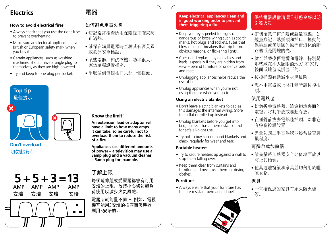## **Electrics**

#### **How to avoid electrical fres**

- Always check that you use the right fuse to prevent overheating.
- Make sure an electrical appliance has a British or European safety mark when you buy it.
- Certain appliances, such as washing machines, should have a single plug to themselves, as they are high powered.
- Try and keep to one plug per socket.



#### **Don't overload**  切勿超負荷

## **5 + 5 + 3 =13**  AMP 安培 安培 安培 安培  $\blacksquare$ . .

### 如何避免用電火災

電器

- 切記常常檢查所用保險絲正確來防 止過熱。
- 確保在購買電器時查驗其有否英國 或歐洲安全標誌。
- 某些電器,如洗衣機,功率很大, 應該單獨設置插座。
- 爭取做到每個插口只配一個插頭。

#### **Know the limit!**

**An extension lead or adaptor will have a limit to how many amps it can take, so be careful not to overload them to reduce the risk of a fire.**

**Appliances use different amounts of power – a television may use a 3amp plug and a vacuum cleaner a 5amp plug for example.**

## 了解上限

每個延伸綫或變壓器都會有可用 安培的上限,故請小心切勿超負 荷使用以減少火災風險。

電器所耗能量不同 - 例如,電視 機可能用3安培的插座而吸塵器 則用5安培的。

#### **Keep electrical appliances clean and in good working order to prevent**  them triggering a fire.

- Keep your eyes peeled for signs of dangerous or loose wiring such as scorch marks, hot plugs and sockets, fuses that blow or circuit-breakers that trip for no obvious reasons, or flickering lights.
- Check and replace any old cables and leads, especially if they are hidden from view – behind furniture or under carpets and mats.
- Unplugging appliances helps reduce the risk of fire.
- Unplug appliances when you're not using them or when you go to bed.

#### **Using an electric blanket**

- Don't leave electric blankets folded as this damages the internal wiring. Store them flat or rolled up instead.
- Unplug blankets before you get into bed, unless it has a thermostat control for safe all-night use.
- Try not to buy second hand blankets and check regularly for wear and tear.

#### **Portable heaters**

- Try to secure heaters up against a wall to stop them falling over.
- Keep them clear from curtains and furniture and never use them for drying clothes.

#### **Furniture**

• Always ensure that your furniture has the fire-resistant permanent label.



#### 保持電器設備清潔且狀態良好以防 引發火災

- 密切留意任何危險或鬆散電線, 如 燒焦痕記、熱插頭和插口、搖動的 保險絲或無明顯的原因而熔化的斷 路器或是閃爍的光。
- 檢查並替換舊電纜和電線,特別是 那些藏在不太顯眼的地方-在家具 後面或地毯或掛毯下的。
- 拔掉插頭有助減少火災風險。
- 您不用電器或上牀睡覺時請拔掉插 頭。

#### 使用電熱毯

- 切勿折疊電熱毯,這會損壞裏面的 電線。將其平放或卷起存放。
- 在睡覺前拔去電熱毯插頭,除非它 有整晚控溫設置。
- 盡量勿購二手電熱毯並經常檢查磨 損程度。

#### 可攜帶式加熱器

- 請盡量將加熱器安全地倚墻而放以 防止其傾倒。
- 使其遠離窗簾和家具並切勿用於曬 晾衣物。

#### 家具

• 一直確保您的家具有永久防火標 簽。

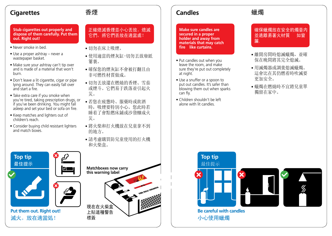## **Cigarettes**

## 香煙

**Stub cigarettes out properly and dispose of them carefully. Put them out. Right out!** 

- Never smoke in bed.
- Use a proper ashtray never a wastepaper basket.
- Make sure your ashtray can't tip over and is made of a material that won't burn.
- Don't leave a lit cigarette, cigar or pipe lying around. They can easily fall over and start a fire.
- Take extra care if you smoke when you're tired, taking prescription drugs, or if you've been drinking. You might fall asleep and set your bed or sofa on fire.
- Keep matches and lighters out of children's reach.
- Consider buying child resistant lighters and match boxes.

#### 正確熄滅香煙並小心丟放。熄滅 它們。將它們丟放在適當處!

- 切勿在床上吸煙。
- 使用適當的煙灰缸-切勿丟放廢紙 簍裏。
- 確保您的煙灰缸不會被打翻且由 非可燃性材質做成。
- 切勿丟放還在燃燒的香煙、雪茄 或煙斗。它們易于跌落並引起火 災。
- 若您在疲憊時、服藥時或飲酒 時,吸煙要特別小心。您此時若 睡着了會點燃床鋪或沙發釀成火 災。
- 將火柴和打火機放在兒童拿不到 的地方。
- 請考慮購買防兒童使用的打火機 和火柴盒。



## **Candles**

**Make sure candles are secured in a proper holder and away from materials that may catch fre like curtains. –**

- Put candles out when you leave the room, and make sure they're put out completely at night.
- Use a snuffer or a spoon to put out candles. It's safer than blowing them out when sparks can fly.
- Children shouldn't be left alone with lit candles.

## 蠟燭

確保蠟燭放在安全的燭臺内 並遠離易著火材質 如窗 簾.

- 離開房間時熄滅蠟燭,並確 保在晚間將其完全熄滅。
- 用滅燭器或調羹熄滅蠟燭。 這會比在其仍燃着時吹滅要 更加安全。
- 蠟燭在燃燒時不宜將兒童單 獨留在家中。



**Be careful with candles**  小心使用蠟燭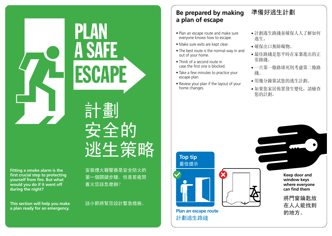**Fitting a smoke alarm is the**  first crucial step to protecting **yourself from fire. But what would you do if it went off during the night?** 

**This section will help you make a plan ready for an emergency.** 

安裝煙火報警器是安全防火的 第一個關鍵步驟。但是若夜間 着火您該怎麽辦?

計劃

ESCAPE

A SAFE

PLAN

### 該小節將幫您設計緊急措施。

安全的 逃生策略

## **Be prepared by making a plan of escape**

- Plan an escape route and make sure everyone knows how to escape.
- Make sure exits are kept clear.
- The best route is the normal way in and out of your home.
- Think of a second route in case the first one is blocked.
- Take a few minutes to practice your escape plan.
- Review your plan if the layout of your home changes.
- 計劃逃生路綫並確保人人了解如何 逃生。
- 確保出口無障礙物。
- 最佳路綫是您平時在家裏進出的正 常路綫。
- 一旦第一條路堵死則考慮第二條路 綫。
- 用幾分鐘嘗試您的逃生計劃。
- 如果您家居佈置發生變化,請檢查 您的計劃。



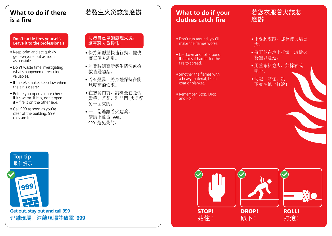## **What to do if there is a fre**

#### **Don't tackle fres yourself. Leave it to the professionals.**

- Keep calm and act quickly, get everyone out as soon as possible.
- Don't waste time investigating what's happened or rescuing valuables.
- If there's smoke, keep low where the air is clearer.
- Before you open a door check if it's warm. If it is, don't open  $it$  – fire is on the other side.
- Call 999 as soon as you're clear of the building. 999 calls are free.

#### 切勿自己單獨處理火災。 讓專職人員操作。

- 保持鎮靜並快速行動, 儘快 讓每個人逃離。
- 勿費時調查所發生情況或搶 救值錢物品。
- 若有煙霧,將身體保持在能 見度高的低處。
- 在您開門前,請檢查它是否 燙手。若是,別開門-火是從 另一面來的。
- 一旦您逃離着火建築, 請馬上致電 999。 999 是免費的。

## 若發生火災該怎麽辦 │ <mark>'What to do if your</mark> 若您衣服着火該怎 **clothes catch fre**

- Don't run around, you'll make the flames worse.
- Lie down and roll around. It makes it harder for the fire to spread.
- Smother the flames with a heavy material, like a coat or blanket.
- Remember, Stop, Drop and Roll!

# 麽辦

- 不要到處跑, 那會使火焰更 大。
- 躺下並在地上打滾。這樣火 勢難以蔓延。
- 用重布料熄火,如棉衣或 毯子。
- 切記:站住、趴 下並在地上打滾!

**Top tip**  最佳提示



**Get out, stay out and call 999**  逃離現場、遠離現場並致電 **999**





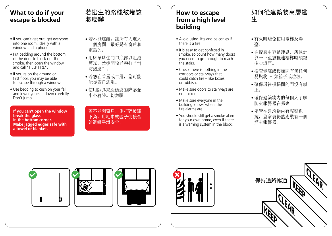## **W h at to do if y o ur e s c a pe is b l o c k ed**

- If you can't get out, get everyone into one room, ideally with a window and a phone.
- Put bedding around the bottom of the door to block out the smoke, then open the window and call "HELP FIRE".
- If you're on the ground or first floor, you may be able to escape through a window.
- Use bedding to cushion your fall and lower yourself down carefully. Don't jump.

**lf you can't open the window break the glass** in the bottom corner. **Make jagged edges safe with a** towel or blanket.

## 若逃生的路綫被堵該 怎 麽 辦

- 若不能逃離,讓所有人進入 一個房間,最好是有窗戶和 電 話 的 。
- 用床單堵住門口底部以阻擋 煙霧,然後開窗並撥打"消 防熱綫"。
- 若您在首層或二層,您可能 能從窗戶逃離。
- 使用臥具來緩衝您的降落並 小心着陸。切勿跳。

若不能開窗戶,則打碎玻璃 下角。用毛巾或毯子使接合 的邊緣平滑安全。

## **How to escape f r om a h i gh l e v el building**

- Avoid using lifts and balconies if there is a fire.
- It is easy to get confused in smoke, so count how many doors you need to go through to reach the stairs.
- Check there is nothing in the corridors or stairways that could catch fire – like boxes o r r u b b i s h .
- Make sure doors to stairways are not locked.
- Make sure everyone in the building knows where the fire alarms are.
- You should still get a smoke alarm for your own home, even if there is a warning system in the block.

## 如何從建築物高層逃 生

- 有火時避免使用電梯及陽 臺 。
- 在煙霧中容易迷惑,所以計 算一下至您抵達樓梯時須經 多 少 道 門 。
- 檢查走廊或樓梯間有無任何 易燃物 - 如箱子或垃圾。
- 確保通往樓梯間的門沒有鎖 上 。
- 確保建築物内的每個人了解 防火報警器在哪裏。
- 儘管在建筑物内有報警系 統,您家裏仍然應裝有一個 煙 火 報 警 器 。





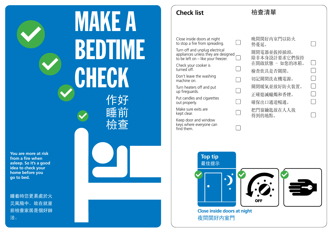MAKE A BEDTIME **CHECK** 作好

睡前

檢查

**You are more at risk**  from a fire when **asleep. So it's a good idea to check your home before you go to bed.** 

睡着時您更易處於火 災風險中。故在就寢 前檢查家居是個好辦 法。

## **Check list**

Close inside doors at night to stop a fire from spreading.

Turn off and unplug electrical appliances unless they are designed to be left on – like your freezer.

Check your cooker is turned off.

Don't leave the washing machine on.

Turn heaters off and put up fireguards.

Put candles and cigarettes out properly.

Make sure exits are kept clear.

Keep door and window keys where everyone can find them.

晚間関好内室門以防火 勢蔓延。 關閉電器並拔掉插頭, 除非本身設計要求它們保持 在開啟狀態 - 如您的冰箱。 檢查炊具是否關閉。 切記關閉洗衣機電源。 關閉暖氣並放好防火裝置。 正確熄滅蠟燭和香煙。 確保出口通道暢通。 把門窗鑰匙放在人人找 得到的地點。

 $\Box$ 

 $\Box$ 

 $\Box$ 

 $\Box$ 

檢查清單

 $\Box$ 

 $\Box$ 

 $\Box$ 

 $\Box$ 

 $\Box$ 

 $\Box$ 

 $\Box$ 



**Close inside doors at night**  夜間関好内室門